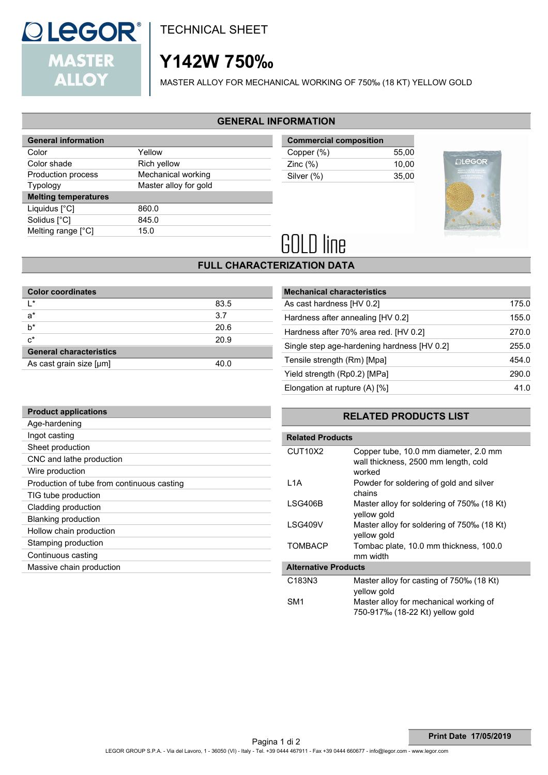

TECHNICAL SHEET

# **Y142W 750‰**

MASTER ALLOY FOR MECHANICAL WORKING OF 750‰ (18 KT) YELLOW GOLD

### **GENERAL INFORMATION**

| <b>General information</b>  |                       |
|-----------------------------|-----------------------|
| Color                       | Yellow                |
| Color shade                 | Rich yellow           |
| Production process          | Mechanical working    |
| <b>Typology</b>             | Master alloy for gold |
| <b>Melting temperatures</b> |                       |
| Liquidus [°C]               | 860.0                 |
| Solidus [°C]                | 845.0                 |
| Melting range [°C]          | 15.0                  |
|                             |                       |

| <b>Commercial composition</b> |       |
|-------------------------------|-------|
| Copper (%)                    | 55.00 |
| Zinc $(\%)$                   | 10.00 |
| Silver (%)                    | 35.00 |
|                               |       |



# **GOLD line**

## **FULL CHARACTERIZATION DATA**

| <b>Color coordinates</b>       |      |
|--------------------------------|------|
| l*                             | 83.5 |
| $a^*$                          | 3.7  |
| $b^*$                          | 20.6 |
| $c^*$                          | 20.9 |
| <b>General characteristics</b> |      |
| As cast grain size [µm]        | 40.0 |

| <b>Mechanical characteristics</b>           |       |
|---------------------------------------------|-------|
| As cast hardness [HV 0.2]                   | 175.0 |
| Hardness after annealing [HV 0.2]           | 155.0 |
| Hardness after 70% area red. [HV 0.2]       | 270.0 |
| Single step age-hardening hardness [HV 0.2] | 255.0 |
| Tensile strength (Rm) [Mpa]                 | 454.0 |
| Yield strength (Rp0.2) [MPa]                | 290.0 |
| Elongation at rupture (A) [%]               | 41 N  |

| <b>Product applications</b>                |
|--------------------------------------------|
| Age-hardening                              |
| Ingot casting                              |
| Sheet production                           |
| CNC and lathe production                   |
| Wire production                            |
| Production of tube from continuous casting |
| TIG tube production                        |
| Cladding production                        |
| <b>Blanking production</b>                 |
| Hollow chain production                    |
| Stamping production                        |
| Continuous casting                         |
| Massive chain production                   |
|                                            |

## **RELATED PRODUCTS LIST**

| <b>Related Products</b>          |                                                                                         |
|----------------------------------|-----------------------------------------------------------------------------------------|
| CUT <sub>10</sub> X <sub>2</sub> | Copper tube, 10.0 mm diameter, 2.0 mm<br>wall thickness, 2500 mm length, cold<br>worked |
| L1A                              | Powder for soldering of gold and silver<br>chains                                       |
| LSG406B                          | Master alloy for soldering of 750‰ (18 Kt)<br>yellow gold                               |
| LSG409V                          | Master alloy for soldering of 750‰ (18 Kt)<br>yellow gold                               |
| <b>TOMBACP</b>                   | Tombac plate, 10.0 mm thickness, 100.0<br>mm width                                      |
| <b>Alternative Products</b>      |                                                                                         |
| C <sub>183</sub> N <sub>3</sub>  | Master alloy for casting of 750‰ (18 Kt)<br>yellow gold                                 |
| SM1                              | Master alloy for mechanical working of<br>750-917% (18-22 Kt) yellow gold               |